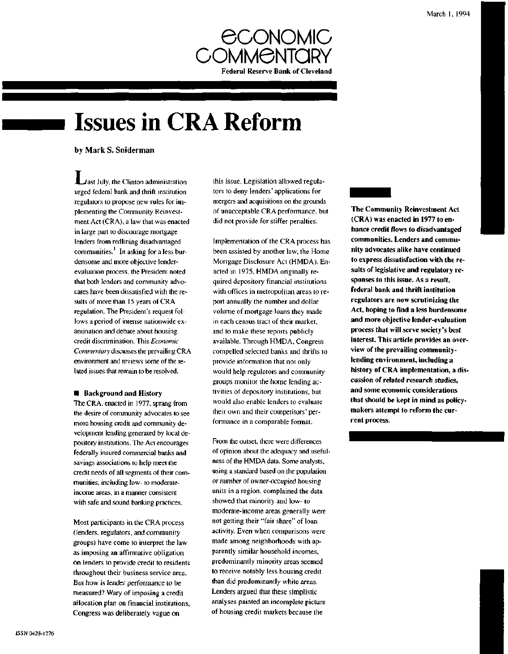

# **Issues in CRA Reform**

by Mark S. Sniderman

*Mast July, the Clinton administration* urged federal bank and thrift institution regulators to propose new rules for implementing the Community Reinvestment Act (CRA), a law that was enacted in large part to discourage mortgage lenders from redlining disadvantaged communities.' In asking for a less burdensome and more objective lenderevaluation process, the President noted that both lenders and community advocates have been dissatisfied with the results of more than 15 years of CRA regulation. The President's request follows a period of intense nationwide examination and debate about housing credit discrimination. This *Economic Commentary* discusses the prevailing CRA environment and reviews some of the related issues that remain to be resolved.

## **• Background and History**

The CRA, enacted in 1977, sprang from the desire of community advocates to see more housing credit and community development lending generated by local depository institutions. The Act encourages federally insured commercial banks and savings associations to help meet the credit needs of all segments of their communities, including low- to moderateincome areas, in a manner consistent with safe and sound banking practices.

Most participants in the CRA process (lenders, regulators, and community groups) have come to interpret the law as imposing an affirmative obligation on lenders to provide credit to residents throughout their business service area. But how is lender performance to be measured? Wary of imposing a credit allocation plan on financial institutions, Congress was deliberately vague on

this issue. Legislation allowed regulators to deny lenders' applications for mergers and acquisitions on the grounds of unacceptable CRA performance, but did not provide for stiffer penalties.

Implementation of the CRA process has been assisted by another law, the Home Mortgage Disclosure Act (HMDA). Enacted in 1975, HMDA originally required depository financial institutions with offices in metropolitan areas to report annually the number and dollar volume of mortgage loans they made in each census tract of their market, and to make these reports publicly available. Through HMDA, Congress compelled selected banks and thrifts to provide information that not only would help regulators and community groups monitor the home lending activities of depository institutions, but would also enable lenders to evaluate their own and their competitors' performance in a comparable format.

From the outset, there were differences of opinion about the adequacy and usefulness of the HMDA data. Some analysts, using a standard based on the population or number of owner-occupied housing units in a region, complained the data showed that minority and low- to moderate-income areas generally were not getting their "fair share" of loan activity. Even when comparisons were made among neighborhoods with apparently similar household incomes, predominantly minority areas seemed to receive notably less housing credit than did predominantly white areas. Lenders argued that these simplistic analyses painted an incomplete picture of housing credit markets because the

# **The Community Reinvestment Act (CRA) was enacted in 1977 to enhance credit flows to disadvantaged communities. Lenders and community advocates alike have continued to express dissatisfaction with the results of legislative and regulatory responses to this issue. As a result, federal bank and thrift institution regulators are now scrutinizing the Act, hoping to find a less burdensome and more objective lender-evaluation process that will serve society's best interest. This article provides an overview of the prevailing communitylending environment, including a history of CRA implementation, a discussion of related research studies, and some economic considerations that should be kept in mind as policymakers attempt to reform the current process.**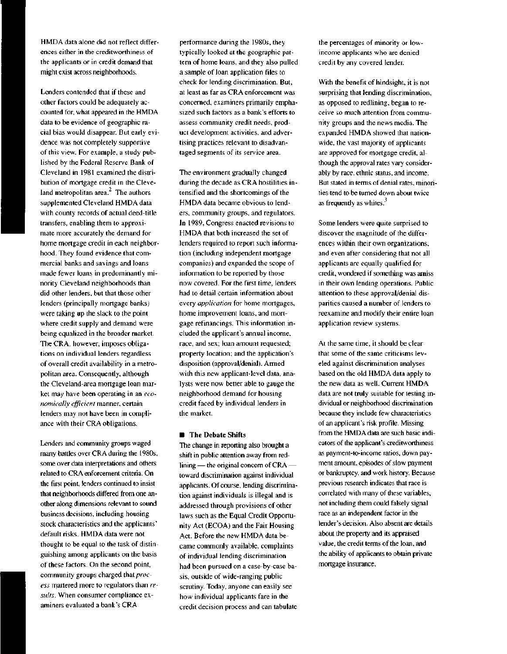HMDA data alone did not reflect differences either in the creditworthiness of the applicants or in credit demand that might exist across neighborhoods.

Lenders contended that if these and other factors could be adequately accounted for, what appeared in the HMDA data to be evidence of geographic racial bias would disappear. But early evidence was not completely supportive of this view. For example, a study published by the Federal Reserve Bank of Cleveland in 1981 examined the distribution of mortgage credit in the Cleveland metropolitan area. $<sup>2</sup>$  The authors</sup> supplemented Cleveland HMDA data with county records of actual deed-title transfers, enabling them to approximate more accurately the demand for home mortgage credit in each neighborhood. They found evidence that commercial banks and savings and loans made fewer loans in predominantly minority Cleveland neighborhoods than did other lenders, but that those other lenders (principally mortgage banks) were taking up the slack to the point where credit supply and demand were being equalized in the broader market. The CRA, however, imposes obligations on individual lenders regardless of overall credit availability in a metropolitan area. Consequently, although the Cleveland-area mortgage loan market may have been operating in an *economically efficient* manner, certain lenders may not have been in compliance with their CRA obligations.

Lenders and community groups waged many battles over CRA during the 1980s, some over data interpretations and others related to CRA enforcement criteria. On the first point, lenders continued to insist that neighborhoods differed from one another along dimensions relevant to sound business decisions, including housing stock characteristics and the applicants' default risks. HMDA data were not thought to be equal to the task of distinguishing among applicants on the basis of these factors. On the second point, community groups charged that *process* mattered more to regulators than *results.* When consumer compliance examiners evaluated a bank's CRA

performance during the 1980s, they typically looked at the geographic pattern of home loans, and they also pulled a sample of loan application files to check for lending discrimination. But, at least as far as CRA enforcement was concerned, examiners primarily emphasized such factors as a bank's efforts to assess community credit needs, product development activities, and advertising practices relevant to disadvantaged segments of its service area.

The environment gradually changed during the decade as CRA hostilities intensified and the shortcomings of the HMDA data became obvious to lenders, community groups, and regulators. In 1989, Congress enacted revisions to HMDA that both increased the set of lenders required to report such information (including independent mortgage companies) and expanded the scope of information to be reported by those now covered. For the first time, lenders had to detail certain information about every *application* for home mortgages, home improvement loans, and mortgage refinancings. This information included the applicant's annual income, race, and sex; loan amount requested; property location; and the application's disposition (approval/denial). Armed with this new applicant-level data, analysts were now better able to gauge the neighborhood demand for housing credit faced by individual lenders in the market.

#### **• The Debate Shifts**

The change in reporting also brought a shift in public attention away from redlining — the original concern of CRA toward discrimination against individual applicants. Of course, lending discrimination against individuals is illegal and is addressed through provisions of other laws such as the Equal Credit Opportunity Act (ECOA) and the Fair Housing Act. Before the new HMDA data became commonly available, complaints of individual lending discrimination had been pursued on a case-by-case basis, outside of wide-ranging public scrutiny. Today, anyone can easily see how individual applicants fare in the credit decision process and can tabulate the percentages of minority or lowincome applicants who are denied credit by any covered lender.

With the benefit of hindsight, it is not surprising that lending discrimination, as opposed to redlining, began to receive so much attention from community groups and the news media. The expanded HMDA showed that nationwide, the vast majority of applicants are approved for mortgage credit, although the approval rates vary considerably by race, ethnic status, and income. But stated in terms of denial rates, minorities tend to be turned down about twice as frequently as whites.<sup>3</sup>

Some lenders were quite surprised to discover the magnitude of the differences within their own organizations, and even after considering that not all applicants are equally qualified for credit, wondered if something was amiss in their own lending operations. Public attention to these approval/denial disparities caused a number of lenders to reexamine and modify their entire loan application review systems.

At the same time, it should be clear that some of the same criticisms leveled against discrimination analyses based on the old HMDA data apply to the new data as well. Current HMDA data are not truly suitable for testing individual or neighborhood discrimination because they include few characteristics of an applicant's risk profile. Missing from the HMDA data are such basic indicators of the applicant's creditworthiness as payment-to-income ratios, down payment amount, episodes of slow payment or bankruptcy, and work history. Because previous research indicates that race is correlated with many of these variables, not including them could falsely signal race as an independent factor in the lender's decision. Also absent are details about the property and its appraised value, the credit terms of the loan, and the ability of applicants to obtain private mortgage insurance.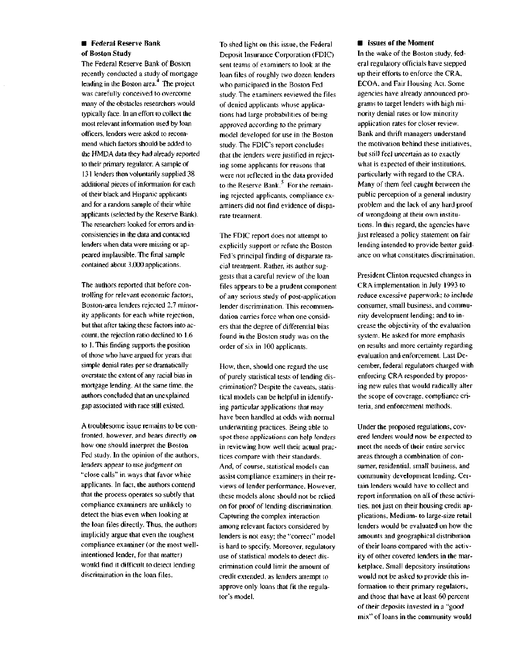# **• Federal Reserve Bank of Boston Study**

The Federal Reserve Bank of Boston recently conducted a study of mortgage lending in the Boston area. $4$  The project was carefully conceived to overcome many of the obstacles researchers would typically face. In an effort to collect the most relevant information used by loan officers, lenders were asked to recommend which factors should be added to the HMDA data they had already reported to their primary regulator. A sample of 131 lenders then voluntarily supplied 38 additional pieces of information for each of their black and Hispanic applicants and for a random sample of their white applicants (selected by the Reserve Bank). The researchers looked for errors and inconsistencies in the data and contacted lenders when data were missing or appeared implausible. The final sample contained about 3,000 applications.

The authors reported that before controlling for relevant economic factors, Boston-area lenders rejected 2.7 minority applicants for each white rejection, but that after taking these factors into account, the rejection ratio declined to 1.6 to 1. This finding supports the position of those who have argued for years that simple denial rates per se dramatically overstate the extent of any racial bias in mortgage lending. At the same time, the authors concluded that an unexplained gap associated with race still existed.

A troublesome issue remains to be confronted, however, and bears directly on how one should interpret the Boston Fed study. In the opinion of the authors, lenders appear to use judgment on "close calls" in ways that favor white applicants. In fact, the authors contend that the process operates so subtly that compliance examiners are unlikely to detect the bias even when looking at the loan files directly. Thus, the authors implicitly argue that even the toughest compliance examiner (or the most wellintentioned lender, for that matter) would find it difficult to detect lending discrimination in the loan files.

To shed light on this issue, the Federal Deposit Insurance Corporation (FDIC) sent teams of examiners to look at the loan files of roughly two dozen lenders who participated in the Boston Fed study. The examiners reviewed the files of denied applicants whose applications had large probabilities of being approved according to the primary model developed for use in the Boston study. The FDlC's report concludes that the lenders were justified in rejecting some applicants for reasons that were not reflected in the data provided to the Reserve Bank.<sup>5</sup> For the remaining rejected applicants, compliance examiners did not find evidence of disparate treatment.

The FDIC report does not attempt to explicitly support or refute the Boston Fed's principal finding of disparate racial treatment. Rather, its author suggests that a careful review of the loan files appears to be a prudent component of any serious study of post-application lender discrimination. This recommendation carries force when one considers that the degree of differential bias found in the Boston study was on the order of six in 100 applicants.

How, then, should one regard the use of purely statistical tests of lending discrimination? Despite the caveats, statistical models can be helpful in identifying particular applications that may have been handled at odds with normal underwriting practices. Being able to spot these applications can help lenders in reviewing how well their actual practices compare with their standards. And, of course, statistical models can assist compliance examiners in their reviews of lender performance. However, these models alone should not be relied on for proof of lending discrimination. Capturing the complex interaction among relevant factors considered by lenders is not easy; the "correct" model is hard to specify. Moreover, regulatory use of statistical models to detect discrimination could limit the amount of credit extended, as lenders attempt to approve only loans that fit the regulator's model.

### **• Issues of the Moment**

**In** the wake of the Boston study, federal regulatory officials have stepped up their efforts to enforce the CRA, ECOA, and Fair Housing Act. Some agencies have already announced programs to target lendefs with high minority denial rates or low minority application rates for closer review. Bank and thrift managers understand the motivation behind these initiatives, but still feel uncertain as to exactly what is expected of their institutions, particularly with regard to the CRA. Many of them feel caught between the public perception of a general industry problem and the lack of any hard proof of wrongdoing at their own institutions. In this regard, the agencies have just released a policy statement on fair lending intended to provide better guidance on what constitutes discrimination.

President Clinton requested changes in CRA implementation in July 1993 to reduce excessive paperwork; to include consumer, small business, and community development lending; and to increase the objectivity of the evaluation system. He asked for more emphasis on results and more certainty regarding evaluation and enforcement. Last December, federal regulators charged with enforcing CRA responded by proposing new rules that would radically alter the scope of coverage, compliance criteria, and enforcement methods.

Under the proposed regulations, covered lenders would now be expected to meet the needs of their entire service areas through a combination of consumer, residential, small business, and community development lending. Certain lenders would have to collect and report information on all of these activities, not just on their housing credit applications. Medium- to large-size retail lenders would be evaluated on how the amounts and geographical distribution of their loans compared with the activity of other covered lenders in the marketplace. Small depository institutions would not be asked to provide this information to their primary regulators, and those that have at least 60 percent of their deposits invested in a "good mix" of loans in the community would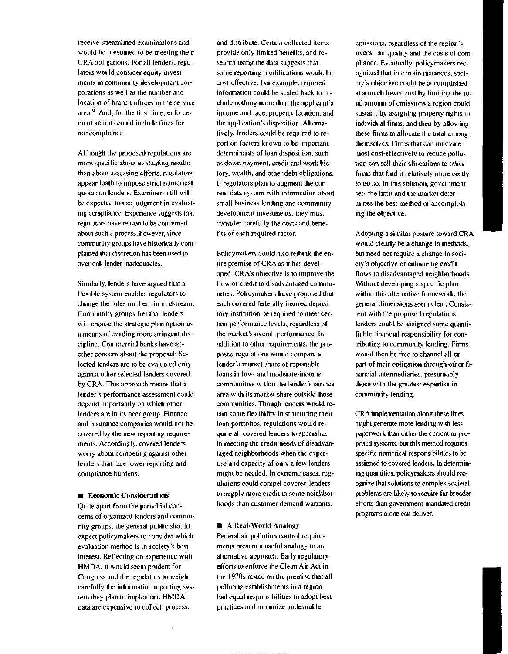receive streamlined examinations and would be presumed to be meeting their CRA obligations. For all lenders, regulators would consider equity investments in community development corporations as well as the number and location of branch offices in the service  $area<sup>6</sup>$  And, for the first time, enforcement actions could include fines for noncompliance.

Although the proposed regulations are more specific about evaluating results than about assessing efforts, regulators appear loath to impose strict numerical quotas on lenders. Examiners still will be expected to use judgment in evaluating compliance. Experience suggests that regulators have reason to be concerned about such a process, however, since community groups have historically complained that discretion has been used to overlook lender inadequacies.

Similarly, lenders have argued that a flexible system enables regulators to change the rules on them in midstream. Community groups fret that lenders will choose the strategic plan option as a means of evading more stringent discipline. Commercial banks have another concern about the proposal: Selected lenders are to be evaluated only against other selected lenders covered by CRA. This approach means that a lender's performance assessment could depend importantly on which other lenders are in its peer group. Finance and insurance companies would not be covered by the new reporting requirements. Accordingly, covered lenders worry about competing against other lenders that face lower reporting and compliance burdens.

#### **• Economic Considerations**

Quite apart from the parochial concerns of organized lenders and community groups, the general public should expect policymakers to consider which evaluation method is in society's best interest. Reflecting on experience with HMDA, it would seem prudent for Congress and the regulators to weigh carefully the information reporting system they plan to implement. HMDA data are expensive to collect, process,

and distribute. Certain collected items provide only limited benefits, and research using the data suggests that some reporting modifications would be cost-effective. For example, required information could be scaled back to include nothing more than the applicant's income and race, property location, and the application's disposition. Alternatively, lenders could be required to report on factors known to be important determinants of loan disposition, such as down payment, credit and work history, wealth, and other debt obligations. If regulators plan to augment the current data system with information about small business lending and community development investments, they must consider carefully the costs and benefits of each required factor.

Policymakers could also rethink the entire premise of CRA as it has developed. CRA's objective is to improve the flow of credit to disadvantaged communities. Policymakers have proposed that each covered federally insured depository institution be required to meet certain performance levels, regardless of the market's overall performance. In addition to other requirements, the proposed regulations would compare a lender's market share of reportable loans in low- and moderate-income communities within the lender's service area with its market share outside these communities. Though lenders would retain some flexibility in structuring their loan portfolios, regulations would require all covered lenders to specialize in meeting the credit needs of disadvantaged neighborhoods when the expertise and capacity of only a few lenders might be needed. In extreme cases, regulations could compel covered lenders to supply more credit to some neighborhoods than customer demand warrants.

#### **•** A **Real-World Analogy**

Federal air pollution control requirements present a useful analogy to an alternative approach. Early regulatory efforts to enforce the Clean Air Act in the 1970s rested on the premise that all polluting establishments in a region had equal responsibilities to adopt best practices and minimize undesirable

emissions, regardless of the region's overall air quality and the costs of compliance. Eventually, policymakers recognized that in certain instances, society's objective could be accomplished at a much lower cost by limiting the total amount of emissions a region could sustain, by assigning property rights to individual firms, and then by allowing these firms to allocate the total among themselves. Firms that can innovate most cost-effectively to reduce pollution can sell their allocations to other firms that find it relatively more costly to do so. In this solution, government sets the limit and the market determines the best method of accomplishing the objective.

Adopting a similar posture toward CRA would clearly be a change in methods, but need not require a change in society's objective of enhancing credit flows to disadvantaged neighborhoods. Without developing a specific plan within this alternative framework, the general dimensions seem clear. Consistent with the proposed regulations, lenders could be assigned some quantifiable financial responsibility for contributing to community lending. Firms would then be free to channel all or part of their obligation through other financial intermediaries, presumably those with the greatest expertise in community lending.

CRA implementation along these lines might generate more lending with less paperwork than either the current or proposed systems, but this method requires specific numerical responsibilities to be assigned to covered lenders. In determining quantities, policymakers should recognize that solutions to complex societal problems are likely to require far broader efforts than government-mandated credit programs alone can deliver.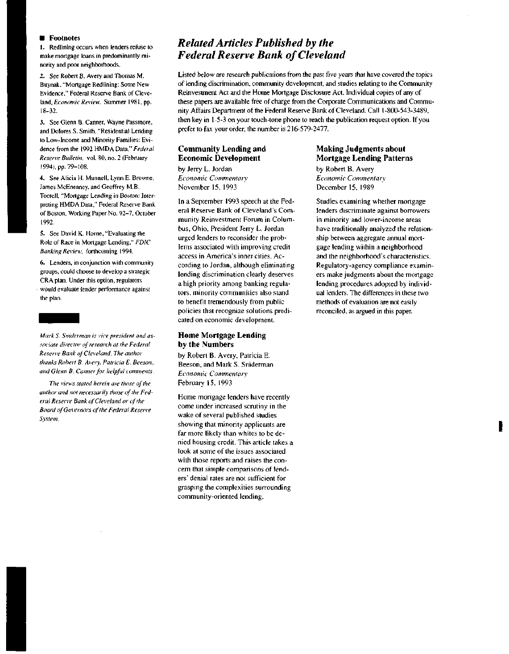#### $\blacksquare$  Footnotes

1. Redlining occurs when lenders refuse to make mortgage loans in predominantly minority and poor neighborhoods.

2. See Robert B. Avery and Thomas M. Buynak, "Mortgage Redlining: Some New Evidence," Federal Reserve Bank of Cleveland, *Economic Review,* Summer 1981, pp. 18-32.

3. See Glenn B. Canner, Wayne Passmore, and Dolores S. Smith, "Residential Lending to Low-Income and Minority Families: Evidence from the 1992 HMDA Data," *Federal Reserve Bulletin,* vol. 80, no. 2 (February 1994), pp. 79-108.

4. See Alicia H. Munnell, Lynn E. Browne, James McEneaney, and Geoffrey M.B. Tootell, "Mortgage Lending in Boston: Interpreting HMDA Data," Federal Reserve Bank of Boston, Working Paper No. 92-7, October 1992.

5. See David K. Home, "Evaluating the Role of Race in Mortgage Lending," *FDIC Banking Review,* forthcoming 1994.

6. Lenders, in conjunction with community groups, could choose to develop a strategic CRA plan. Under this option, regulators - would evaluate lender performance against the plan.

*Mark S. Sniderman is vice president and associate director of research at the Federal Reserve Bank of Cleveland. The author thanks Robert B. Avery, Patricia E. Beeson, and Glenn B. Canner for helpful comments.*

*The views stated herein are those of the author and not necessarily those of the Federal Resen'e Bank of Cleveland or of the Board of Governors of the Federal Reserve System.*

# *Related Articles Published by the Federal Reserve Bank of Cleveland*

Listed below are research publications from the past five years that have covered the topics of lending discrimination, community development, and studies relating to the Community Reinvestment Act and the Home Mortgage Disclosure Act. Individual copies of any of these papers are available free of charge from the Corporate Communications and Community Affairs Department of the Federal Reserve Bank of Cleveland. Call 1-800-543-3489, then key in 1-5-3 on your touch-tone phone to reach the publication request option. If you prefer to fax your order, the number is 216-579-2477.

# **Community Lending and Economic Development**

by Jerry L. Jordan *Economic Commentary* November 15, 1993

In a September 1993 speech at the Federal Reserve Bank of Cleveland's Community Reinvestment Forum in Columbus, Ohio, President Jerry L. Jordan urged lenders to reconsider the problems associated with improving credit access in America's inner cities. According to Jordan, although eliminating lending discrimination clearly deserves a high priority among banking regulators, minority communities also stand to benefit tremendously from public policies that recognize solutions predicated on economic development.

### **Home Mortgage Lending by the Numbers**

by Robert B. Avery, Patricia E. Beeson, and Mark S. Sniderman *Economic Commentary* February 15, 1993

Home mortgage lenders have recently come under increased scrutiny in the wake of several published studies showing that minority applicants are far more likely than whites to be denied housing credit. This article takes a look at some of the issues associated with those reports and raises the concern that simple comparisons of lenders' denial rates are not sufficient for grasping the complexities surrounding community-oriented lending.

## Making Judgments about Mortgage Lending Patterns

by Robert B. Avery *Economic Commentary* December 15, 1989

Studies examining whether mortgage lenders discriminate against borrowers in minority and lower-income areas have traditionally analyzed the relationship between aggregate annual mortgage lending within a neighborhood and the neighborhood's characteristics. Regulatory-agency compliance examiners make judgments about the mortgage lending procedures adopted by individual lenders. The differences in these two methods of evaluation are not easily reconciled, as argued in this paper.

I